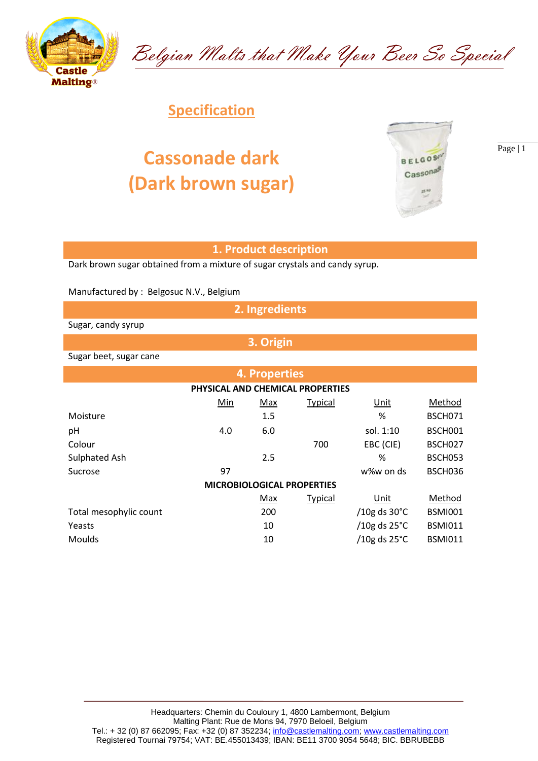

Belgian Malts that Make Your Beer So Special

## **Specification**

## **Cassonade dark (Dark brown sugar)**



Page | 1

## **1. Product description**

Dark brown sugar obtained from a mixture of sugar crystals and candy syrup.

Manufactured by : Belgosuc N.V., Belgium

**2. Ingredients**

**3. Origin**

Sugar, candy syrup

Sugar beet, sugar cane

|                        |     | <b>4. Properties</b> |                                   |                        |                |
|------------------------|-----|----------------------|-----------------------------------|------------------------|----------------|
|                        |     |                      | PHYSICAL AND CHEMICAL PROPERTIES  |                        |                |
|                        | Min | Max                  | <b>Typical</b>                    | Unit                   | Method         |
| Moisture               |     | 1.5                  |                                   | %                      | <b>BSCH071</b> |
| pH                     | 4.0 | 6.0                  |                                   | sol. 1:10              | BSCH001        |
| Colour                 |     |                      | 700                               | EBC (CIE)              | BSCH027        |
| Sulphated Ash          |     | 2.5                  |                                   | %                      | <b>BSCH053</b> |
| Sucrose                | 97  |                      |                                   | w%w on ds              | BSCH036        |
|                        |     |                      | <b>MICROBIOLOGICAL PROPERTIES</b> |                        |                |
|                        |     | Max                  | <b>Typical</b>                    | Unit                   | Method         |
| Total mesophylic count |     | 200                  |                                   | /10g ds $30^{\circ}$ C | <b>BSMI001</b> |
| Yeasts                 |     | 10                   |                                   | /10g ds $25^{\circ}$ C | <b>BSMI011</b> |
| <b>Moulds</b>          |     | 10                   |                                   | /10g ds $25^{\circ}$ C | <b>BSMI011</b> |